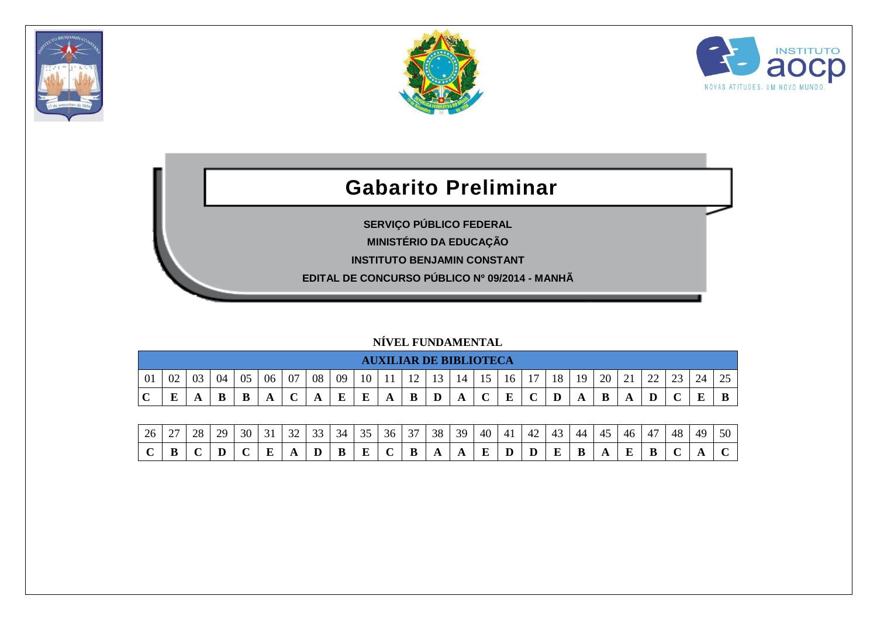





## **Gabarito Preliminar**

**SERVIÇO PÚBLICO FEDERAL**

**MINISTÉRIO DA EDUCAÇÃO**

**INSTITUTO BENJAMIN CONSTANT**

**EDITAL DE CONCURSO PÚBLICO Nº 09/2014 - MANHÃ**

## **NÍVEL FUNDAMENTAL**

|             |         |    |    |    |    |    |    |    |          |   | <b>AUXILIAR DE BIBLIOTECA</b>  |    |    |    |    |    |    |    |    |               |             |        |    |                        |
|-------------|---------|----|----|----|----|----|----|----|----------|---|--------------------------------|----|----|----|----|----|----|----|----|---------------|-------------|--------|----|------------------------|
| 01          | 02      | 03 | 04 | 05 | 06 | 07 | 08 | 09 | 10       |   | 12<br>$\overline{\phantom{0}}$ | 13 | 14 | 15 | 16 | 17 | 18 | 19 | 20 | $\sim$ 1<br>◢ | $\cap$<br>∸ | $\cap$ | 24 | $\cap$ $\subset$<br>رے |
| $\mathbf C$ | ТD<br>Ŀ |    | B  | D  | A  | ◡  | A  | E  | $\bf{E}$ | A | B                              | D  | A  | ັ  | E  |    | D  | A  | B  | A             | D           |        | ت  |                        |

| 26 | $\sim$<br>∸ | $\gamma$ | $\gamma c$ | 30 | $\sim$ | $\sim$ | $\sim$<br>-- | $\sim$ | $\sim$ $\sim$ | $\sim$<br>30 | $\sim$ | 38  | 39 | 40 | 4 <sub>1</sub> | $\sqrt{ }$<br>42 |   | 44 |   | 40 | $\overline{\phantom{0}}$<br>$\overline{4}$ | 48 | 49 | 50 |
|----|-------------|----------|------------|----|--------|--------|--------------|--------|---------------|--------------|--------|-----|----|----|----------------|------------------|---|----|---|----|--------------------------------------------|----|----|----|
|    | D<br>D      |          |            |    |        |        |              |        | -             |              |        | . . | ŦТ |    |                |                  | E |    | ∸ |    |                                            |    |    |    |